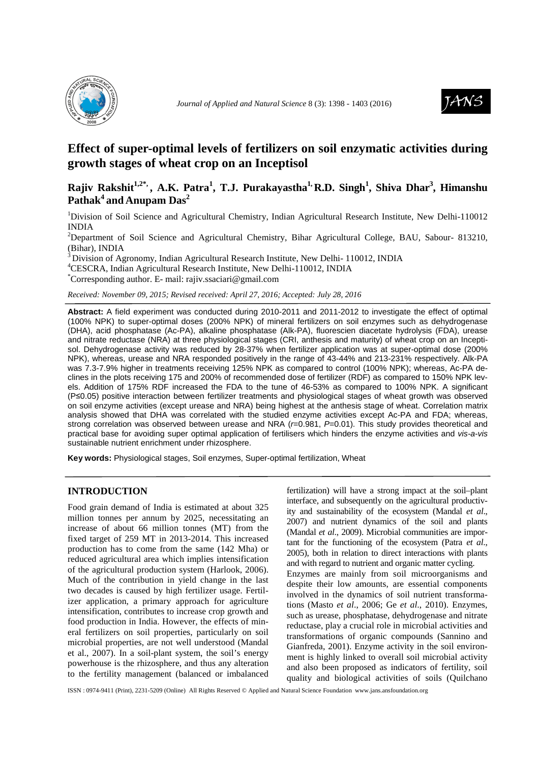



# **Effect of super-optimal levels of fertilizers on soil enzymatic activities during growth stages of wheat crop on an Inceptisol**

## **Rajiv Rakshit1,2\*, , A.K. Patra<sup>1</sup> , T.J. Purakayastha1, R.D. Singh<sup>1</sup> , Shiva Dhar<sup>3</sup> , Himanshu Pathak<sup>4</sup>and Anupam Das<sup>2</sup>**

<sup>1</sup>Division of Soil Science and Agricultural Chemistry, Indian Agricultural Research Institute, New Delhi-110012 INDIA

<sup>2</sup>Department of Soil Science and Agricultural Chemistry, Bihar Agricultural College, BAU, Sabour- 813210, (Bihar), INDIA

 $3$ Division of Agronomy, Indian Agricultural Research Institute, New Delhi- 110012, INDIA

<sup>4</sup>CESCRA, Indian Agricultural Research Institute, New Delhi-110012, INDIA

\*Corresponding author. E- mail: rajiv.ssaciari@gmail.com

*Received: November 09, 2015; Revised received: April 27, 2016; Accepted: July 28, 2016*

**Abstract:** A field experiment was conducted during 2010-2011 and 2011-2012 to investigate the effect of optimal (100% NPK) to super-optimal doses (200% NPK) of mineral fertilizers on soil enzymes such as dehydrogenase (DHA), acid phosphatase (Ac-PA), alkaline phosphatase (Alk-PA), fluorescien diacetate hydrolysis (FDA), urease and nitrate reductase (NRA) at three physiological stages (CRI, anthesis and maturity) of wheat crop on an Inceptisol. Dehydrogenase activity was reduced by 28-37% when fertilizer application was at super-optimal dose (200% NPK), whereas, urease and NRA responded positively in the range of 43-44% and 213-231% respectively. Alk-PA was 7.3-7.9% higher in treatments receiving 125% NPK as compared to control (100% NPK); whereas, Ac-PA declines in the plots receiving 175 and 200% of recommended dose of fertilizer (RDF) as compared to 150% NPK levels. Addition of 175% RDF increased the FDA to the tune of 46-53% as compared to 100% NPK. A significant (P≤0.05) positive interaction between fertilizer treatments and physiological stages of wheat growth was observed on soil enzyme activities (except urease and NRA) being highest at the anthesis stage of wheat. Correlation matrix analysis showed that DHA was correlated with the studied enzyme activities except Ac-PA and FDA; whereas, strong correlation was observed between urease and NRA ( $r=0.981$ ,  $P=0.01$ ). This study provides theoretical and practical base for avoiding super optimal application of fertilisers which hinders the enzyme activities and vis-a-vis sustainable nutrient enrichment under rhizosphere.

**Key words:** Physiological stages, Soil enzymes, Super-optimal fertilization, Wheat

### **INTRODUCTION**

Food grain demand of India is estimated at about 325 million tonnes per annum by 2025, necessitating an increase of about 66 million tonnes (MT) from the fixed target of 259 MT in 2013-2014. This increased production has to come from the same (142 Mha) or reduced agricultural area which implies intensification of the agricultural production system (Harlook, 2006). Much of the contribution in yield change in the last two decades is caused by high fertilizer usage. Fertilizer application, a primary approach for agriculture intensification, contributes to increase crop growth and food production in India. However, the effects of mineral fertilizers on soil properties, particularly on soil microbial properties, are not well understood (Mandal et al., 2007). In a soil-plant system, the soil's energy powerhouse is the rhizosphere, and thus any alteration to the fertility management (balanced or imbalanced fertilization) will have a strong impact at the soil–plant interface, and subsequently on the agricultural productivity and sustainability of the ecosystem (Mandal *et al*., 2007) and nutrient dynamics of the soil and plants (Mandal *et al*., 2009). Microbial communities are important for the functioning of the ecosystem (Patra *et al*., 2005), both in relation to direct interactions with plants and with regard to nutrient and organic matter cycling. Enzymes are mainly from soil microorganisms and despite their low amounts, are essential components involved in the dynamics of soil nutrient transformations (Masto *et al*., 2006; Ge *et al*., 2010). Enzymes, such as urease, phosphatase, dehydrogenase and nitrate reductase, play a crucial role in microbial activities and transformations of organic compounds (Sannino and Gianfreda, 2001). Enzyme activity in the soil environment is highly linked to overall soil microbial activity and also been proposed as indicators of fertility, soil quality and biological activities of soils (Quilchano

ISSN : 0974-9411 (Print), 2231-5209 (Online) All Rights Reserved © Applied and Natural Science Foundation www.jans.ansfoundation.org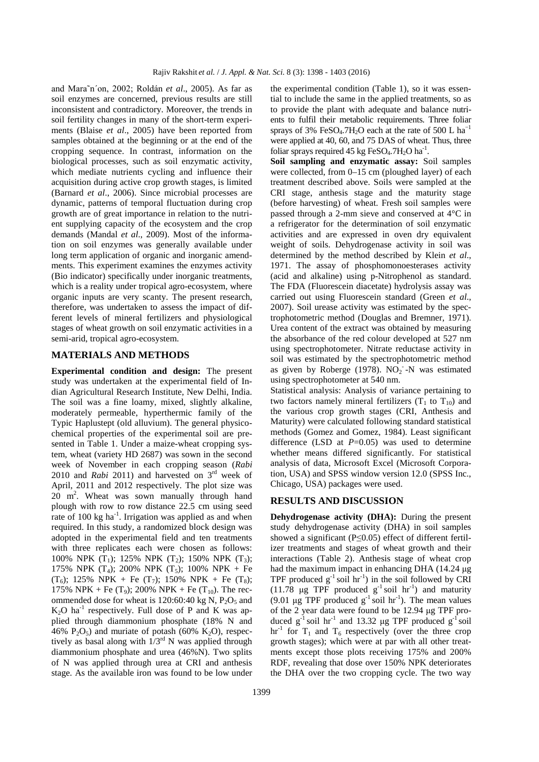and Mara˜n´on, 2002; Roldán *et al*., 2005). As far as soil enzymes are concerned, previous results are still inconsistent and contradictory. Moreover, the trends in soil fertility changes in many of the short-term experiments (Blaise *et al*., 2005) have been reported from samples obtained at the beginning or at the end of the cropping sequence. In contrast, information on the biological processes, such as soil enzymatic activity, which mediate nutrients cycling and influence their acquisition during active crop growth stages, is limited (Barnard *et al*., 2006). Since microbial processes are dynamic, patterns of temporal fluctuation during crop growth are of great importance in relation to the nutrient supplying capacity of the ecosystem and the crop demands (Mandal *et al*., 2009). Most of the information on soil enzymes was generally available under long term application of organic and inorganic amendments. This experiment examines the enzymes activity (Bio indicator) specifically under inorganic treatments, which is a reality under tropical agro-ecosystem, where organic inputs are very scanty. The present research, therefore, was undertaken to assess the impact of different levels of mineral fertilizers and physiological stages of wheat growth on soil enzymatic activities in a semi-arid, tropical agro-ecosystem.

#### **MATERIALS AND METHODS**

**Experimental condition and design:** The present study was undertaken at the experimental field of Indian Agricultural Research Institute, New Delhi, India. The soil was a fine loamy, mixed, slightly alkaline, moderately permeable, hyperthermic family of the Typic Haplustept (old alluvium). The general physicochemical properties of the experimental soil are presented in Table 1. Under a maize-wheat cropping system, wheat (variety HD 2687) was sown in the second week of November in each cropping season (*Rabi*  2010 and *Rabi* 2011) and harvested on 3rd week of April, 2011 and 2012 respectively. The plot size was 20 m<sup>2</sup> . Wheat was sown manually through hand plough with row to row distance 22.5 cm using seed rate of 100 kg ha<sup>-1</sup>. Irrigation was applied as and when required. In this study, a randomized block design was adopted in the experimental field and ten treatments with three replicates each were chosen as follows: 100% NPK  $(T_1)$ ; 125% NPK  $(T_2)$ ; 150% NPK  $(T_3)$ ; 175% NPK  $(T_4)$ ; 200% NPK  $(T_5)$ ; 100% NPK + Fe  $(T_6)$ ; 125% NPK + Fe  $(T_7)$ ; 150% NPK + Fe  $(T_8)$ ; 175% NPK + Fe (T<sub>9</sub>); 200% NPK + Fe (T<sub>10</sub>). The recommended dose for wheat is 120:60:40 kg N,  $P_2O_5$  and  $K_2O$  ha<sup>-1</sup> respectively. Full dose of P and K was applied through diammonium phosphate (18% N and 46%  $P_2O_5$ ) and muriate of potash (60% K<sub>2</sub>O), respectively as basal along with  $1/3<sup>rd</sup>$  N was applied through diammonium phosphate and urea (46%N). Two splits of N was applied through urea at CRI and anthesis stage. As the available iron was found to be low under

the experimental condition (Table 1), so it was essential to include the same in the applied treatments, so as to provide the plant with adequate and balance nutrients to fulfil their metabolic requirements. Three foliar sprays of 3% FeSO<sub>4</sub>.7H<sub>2</sub>O each at the rate of 500 L ha<sup>-1</sup> were applied at 40, 60, and 75 DAS of wheat. Thus, three foliar sprays required 45 kg FeSO<sub>4</sub>.7H<sub>2</sub>O ha<sup>-1</sup>.

**Soil sampling and enzymatic assay:** Soil samples were collected, from 0–15 cm (ploughed layer) of each treatment described above. Soils were sampled at the CRI stage, anthesis stage and the maturity stage (before harvesting) of wheat. Fresh soil samples were passed through a 2-mm sieve and conserved at 4°C in a refrigerator for the determination of soil enzymatic activities and are expressed in oven dry equivalent weight of soils. Dehydrogenase activity in soil was determined by the method described by Klein *et al*., 1971. The assay of phosphomonoesterases activity (acid and alkaline) using p-Nitrophenol as standard. The FDA (Fluorescein diacetate) hydrolysis assay was carried out using Fluorescein standard (Green *et al*., 2007). Soil urease activity was estimated by the spectrophotometric method (Douglas and Bremner, 1971). Urea content of the extract was obtained by measuring the absorbance of the red colour developed at 527 nm using spectrophotometer. Nitrate reductase activity in soil was estimated by the spectrophotometric method as given by Roberge (1978).  $NO<sub>2</sub>$  -N was estimated using spectrophotometer at 540 nm.

Statistical analysis: Analysis of variance pertaining to two factors namely mineral fertilizers  $(T_1$  to  $T_{10})$  and the various crop growth stages (CRI, Anthesis and Maturity) were calculated following standard statistical methods (Gomez and Gomez, 1984). Least significant difference (LSD at *P*=0.05) was used to determine whether means differed significantly. For statistical analysis of data, Microsoft Excel (Microsoft Corporation, USA) and SPSS window version 12.0 (SPSS Inc., Chicago, USA) packages were used.

#### **RESULTS AND DISCUSSION**

**Dehydrogenase activity (DHA):** During the present study dehydrogenase activity (DHA) in soil samples showed a significant (P≤0.05) effect of different fertilizer treatments and stages of wheat growth and their interactions (Table 2). Anthesis stage of wheat crop had the maximum impact in enhancing DHA (14.24 µg) TPF produced  $g^{-1}$  soil hr<sup>-1</sup>) in the soil followed by CRI (11.78  $\mu$ g TPF produced  $g^{-1}$  soil hr<sup>-1</sup>) and maturity (9.01  $\mu$ g TPF produced g<sup>-1</sup> soil hr<sup>-1</sup>). The mean values of the 2 year data were found to be 12.94 µg TPF produced  $g^{-1}$  soil hr<sup>-1</sup> and 13.32 µg TPF produced  $g^{-1}$  soil  $hr^{-1}$  for  $T_1$  and  $T_6$  respectively (over the three crop growth stages); which were at par with all other treatments except those plots receiving 175% and 200% RDF, revealing that dose over 150% NPK deteriorates the DHA over the two cropping cycle. The two way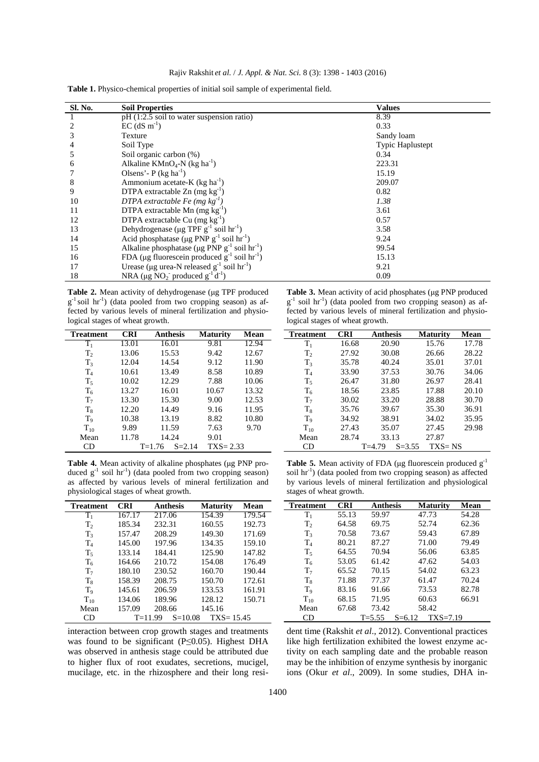| Rajiv Rakshit et al. / J. Appl. & Nat. Sci. 8 (3): 1398 - 1403 (2016) |  |  |  |  |
|-----------------------------------------------------------------------|--|--|--|--|
|                                                                       |  |  |  |  |

| <b>Sl. No.</b> | <b>Soil Properties</b>                                                     | <b>Values</b>           |
|----------------|----------------------------------------------------------------------------|-------------------------|
|                | $pH(1:2.5)$ soil to water suspension ratio)                                | 8.39                    |
|                | $EC$ (dS m <sup>-1</sup> )                                                 | 0.33                    |
|                | Texture                                                                    | Sandy loam              |
|                | Soil Type                                                                  | <b>Typic Haplustept</b> |
|                | Soil organic carbon (%)                                                    | 0.34                    |
| 6              | Alkaline KMnO <sub>4</sub> -N (kg ha <sup>-1</sup> )                       | 223.31                  |
|                | Olsens'- $P$ (kg ha <sup>-1</sup> )                                        | 15.19                   |
| 8              | Ammonium acetate- $K$ (kg ha <sup>-1</sup> )                               | 209.07                  |
| 9              | DTPA extractable $Zn$ (mg kg <sup>-1</sup> )                               | 0.82                    |
| 10             | DTPA extractable Fe (mg $kg^{-1}$ )                                        | 1.38                    |
| 11             | DTPA extractable Mn $(mg kg^{-1})$                                         | 3.61                    |
| 12             | DTPA extractable Cu $(mg kg^{-1})$                                         | 0.57                    |
| 13             | Dehydrogenase (µg TPF $g^{-1}$ soil hr <sup>-1</sup> )                     | 3.58                    |
| 14             | Acid phosphatase ( $\mu$ g PNP g <sup>-1</sup> soil hr <sup>-1</sup> )     | 9.24                    |
| 15             | Alkaline phosphatase ( $\mu$ g PNP g <sup>-1</sup> soil hr <sup>-1</sup> ) | 99.54                   |
| 16             | FDA (µg fluorescein produced $g^{-1}$ soil hr <sup>-1</sup> )              | 15.13                   |
| 17             | Urease (µg urea-N released $g^{-1}$ soil $hr^{-1}$ )                       | 9.21                    |
| 18             | NRA (µg NO <sub>2</sub> produced $g^{-1}d^{-1}$ )                          | 0.09                    |

**Table 1.** Physico-chemical properties of initial soil sample of experimental field.

Table 2. Mean activity of dehydrogenase (µg TPF produced g<sup>-1</sup> soil hr<sup>-1</sup>) (data pooled from two cropping season) as affected by various levels of mineral fertilization and physiological stages of wheat growth.

| <b>Treatment</b> | <b>CRI</b> | Anthesis                 | <b>Maturity</b> | Mean  |
|------------------|------------|--------------------------|-----------------|-------|
| $T_1$            | 13.01      | 16.01                    | 9.81            | 12.94 |
| T <sub>2</sub>   | 13.06      | 15.53                    | 9.42            | 12.67 |
| $T_3$            | 12.04      | 14.54                    | 9.12            | 11.90 |
| $T_4$            | 10.61      | 13.49                    | 8.58            | 10.89 |
| $T_5$            | 10.02      | 12.29                    | 7.88            | 10.06 |
| $T_6$            | 13.27      | 16.01                    | 10.67           | 13.32 |
| T <sub>7</sub>   | 13.30      | 15.30                    | 9.00            | 12.53 |
| $T_{\rm R}$      | 12.20      | 14.49                    | 9.16            | 11.95 |
| T <sub>9</sub>   | 10.38      | 13.19                    | 8.82            | 10.80 |
| $T_{10}$         | 9.89       | 11.59                    | 7.63            | 9.70  |
| Mean             | 11.78      | 14.24                    | 9.01            |       |
| CD               |            | $S = 2.14$<br>$T = 1.76$ | $TXS = 2.33$    |       |

Table 4. Mean activity of alkaline phosphates (µg PNP produced  $g^{-1}$  soil hr<sup>-1</sup>) (data pooled from two cropping season) as affected by various levels of mineral fertilization and physiological stages of wheat growth.

| <b>Treatment</b> | <b>CRI</b> | <b>Anthesis</b>            | <b>Maturity</b> | Mean   |
|------------------|------------|----------------------------|-----------------|--------|
| T,               | 167.17     | 217.06                     | 154.39          | 179.54 |
| T <sub>2</sub>   | 185.34     | 232.31                     | 160.55          | 192.73 |
| $T_3$            | 157.47     | 208.29                     | 149.30          | 171.69 |
| $\rm T_4$        | 145.00     | 197.96                     | 134.35          | 159.10 |
| $T_5$            | 133.14     | 184.41                     | 125.90          | 147.82 |
| $T_{6}$          | 164.66     | 210.72                     | 154.08          | 176.49 |
| T <sub>7</sub>   | 180.10     | 230.52                     | 160.70          | 190.44 |
| $T_{\rm R}$      | 158.39     | 208.75                     | 150.70          | 172.61 |
| $T_{9}$          | 145.61     | 206.59                     | 133.53          | 161.91 |
| $T_{10}$         | 134.06     | 189.96                     | 128.12          | 150.71 |
| Mean             | 157.09     | 208.66                     | 145.16          |        |
|                  |            | $S = 10.08$<br>$T = 11.99$ | $TXS = 15.45$   |        |

interaction between crop growth stages and treatments was found to be significant (P≤0.05). Highest DHA was observed in anthesis stage could be attributed due to higher flux of root exudates, secretions, mucigel, mucilage, etc. in the rhizosphere and their long resi-

Table 3. Mean activity of acid phosphates (µg PNP produced g<sup>-1</sup> soil hr<sup>-1</sup>) (data pooled from two cropping season) as affected by various levels of mineral fertilization and physiological stages of wheat growth.

| <b>Treatment</b> | <b>CRI</b> | Anthesis               | <b>Maturity</b> | Mean  |
|------------------|------------|------------------------|-----------------|-------|
| $\rm T_1$        | 16.68      | 20.90                  | 15.76           | 17.78 |
| T <sub>2</sub>   | 27.92      | 30.08                  | 26.66           | 28.22 |
| $T_{3}$          | 35.78      | 40.24                  | 35.01           | 37.01 |
| $T_4$            | 33.90      | 37.53                  | 30.76           | 34.06 |
| $T_{\rm s}$      | 26.47      | 31.80                  | 26.97           | 28.41 |
| $T_6$            | 18.56      | 23.85                  | 17.88           | 20.10 |
| $T_7$            | 30.02      | 33.20                  | 28.88           | 30.70 |
| $T_{8}$          | 35.76      | 39.67                  | 35.30           | 36.91 |
| $T_{9}$          | 34.92      | 38.91                  | 34.02           | 35.95 |
| $T_{10}$         | 27.43      | 35.07                  | 27.45           | 29.98 |
| Mean             | 28.74      | 33.13                  | 27.87           |       |
| CD               |            | $T=4.79$<br>$S = 3.55$ | $TXS = NS$      |       |

**Table 5.** Mean activity of FDA ( $\mu$ g fluorescein produced  $g^{-1}$ soil hr<sup>1</sup>) (data pooled from two cropping season) as affected by various levels of mineral fertilization and physiological stages of wheat growth.

| <b>Treatment</b> | <b>CRI</b> | Anthesis   | Maturitv                 | Mean  |
|------------------|------------|------------|--------------------------|-------|
| $T_1$            | 55.13      | 59.97      | 47.73                    | 54.28 |
| $T_{2}$          | 64.58      | 69.75      | 52.74                    | 62.36 |
| $T_{3}$          | 70.58      | 73.67      | 59.43                    | 67.89 |
| $\rm T_4$        | 80.21      | 87.27      | 71.00                    | 79.49 |
| $T_5$            | 64.55      | 70.94      | 56.06                    | 63.85 |
| $T_6$            | 53.05      | 61.42      | 47.62                    | 54.03 |
| T <sub>7</sub>   | 65.52      | 70.15      | 54.02                    | 63.23 |
| $T_8$            | 71.88      | 77.37      | 61.47                    | 70.24 |
| $T_{9}$          | 83.16      | 91.66      | 73.53                    | 82.78 |
| $T_{10}$         | 68.15      | 71.95      | 60.63                    | 66.91 |
| Mean             | 67.68      | 73.42      | 58.42                    |       |
| СD               |            | $T = 5.55$ | $TXS=7.19$<br>$S = 6.12$ |       |

dent time (Rakshit *et al*., 2012). Conventional practices like high fertilization exhibited the lowest enzyme activity on each sampling date and the probable reason may be the inhibition of enzyme synthesis by inorganic ions (Okur *et al*., 2009). In some studies, DHA in-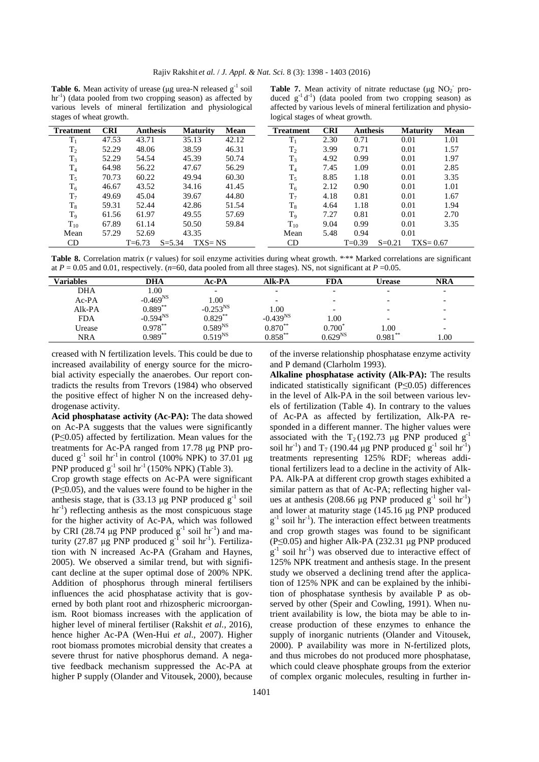**Table 6.** Mean activity of urease ( $\mu$ g urea-N released  $g^{-1}$  soil  $\text{hr}^{-1}$ ) (data pooled from two cropping season) as affected by various levels of mineral fertilization and physiological stages of wheat growth.

| <b>Table 7.</b> Mean activity of nitrate reductase ( $\mu$ g NO <sub>2</sub> pro- |
|-----------------------------------------------------------------------------------|
| duced $g^{-1}d^{-1}$ ) (data pooled from two cropping season) as                  |
| affected by various levels of mineral fertilization and physio-                   |
| logical stages of wheat growth.                                                   |

| <b>Treatment</b> | <b>CRI</b> | <b>Anthesis</b> | <b>Maturity</b>          | Mean  | <b>Treatment</b> | <b>CRI</b> | <b>Anthesis</b> |            | <b>Maturity</b> | Mean |
|------------------|------------|-----------------|--------------------------|-------|------------------|------------|-----------------|------------|-----------------|------|
| $T_1$            | 47.53      | 43.71           | 35.13                    | 42.12 | $T_1$            | 2.30       | 0.71            |            | 0.01            | 1.01 |
| $T_2$            | 52.29      | 48.06           | 38.59                    | 46.31 | $T_2$            | 3.99       | 0.71            |            | 0.01            | 1.57 |
| $T_3$            | 52.29      | 54.54           | 45.39                    | 50.74 | $T_3$            | 4.92       | 0.99            |            | 0.01            | 1.97 |
| $T_4$            | 64.98      | 56.22           | 47.67                    | 56.29 | $T_4$            | 7.45       | 1.09            |            | 0.01            | 2.85 |
| $T_5$            | 70.73      | 60.22           | 49.94                    | 60.30 | $T_5$            | 8.85       | 1.18            |            | 0.01            | 3.35 |
| $\mathrm{T}_6$   | 46.67      | 43.52           | 34.16                    | 41.45 | $T_6$            | 2.12       | 0.90            |            | 0.01            | 1.01 |
| $T_7$            | 49.69      | 45.04           | 39.67                    | 44.80 | T <sub>7</sub>   | 4.18       | 0.81            |            | 0.01            | 1.67 |
| $T_8$            | 59.31      | 52.44           | 42.86                    | 51.54 | $T_8$            | 4.64       | 1.18            |            | 0.01            | 1.94 |
| $T_9$            | 61.56      | 61.97           | 49.55                    | 57.69 | T <sub>9</sub>   | 7.27       | 0.81            |            | 0.01            | 2.70 |
| $T_{10}$         | 67.89      | 61.14           | 50.50                    | 59.84 | $T_{10}$         | 9.04       | 0.99            |            | 0.01            | 3.35 |
| Mean             | 57.29      | 52.69           | 43.35                    |       | Mean             | 5.48       | 0.94            |            | 0.01            |      |
| CD               |            | $T = 6.73$      | $TXS = NS$<br>$S = 5.34$ |       | CD               |            | $T=0.39$        | $S = 0.21$ | $TXS = 0.67$    |      |

Table 8. Correlation matrix (*r* values) for soil enzyme activities during wheat growth. \*\*\* Marked correlations are significant at  $P = 0.05$  and 0.01, respectively. (*n*=60, data pooled from all three stages). NS, not significant at  $P = 0.05$ .

| <b>Variables</b> | DHA           | Ac-PA                    | Alk-PA        | <b>FDA</b>               | Urease                   | NRA  |
|------------------|---------------|--------------------------|---------------|--------------------------|--------------------------|------|
| DHA              | 1.00          | $\overline{\phantom{0}}$ | -             | $\overline{\phantom{0}}$ | $\overline{\phantom{0}}$ |      |
| $Ac-PA$          | $-0.469^{NS}$ | .00.                     | -             | $\overline{\phantom{0}}$ | $\overline{\phantom{0}}$ |      |
| Alk-PA           | $0.889***$    | $-0.253^{NS}$            | 0.00          | $\overline{\phantom{0}}$ |                          |      |
| <b>FDA</b>       | $-0.594^{NS}$ | $0.829***$               | $-0.439^{NS}$ | 1.00                     |                          |      |
| Urease           | $0.978***$    | $0.589^{NS}$             | $0.870**$     | $0.700^{\circ}$          | 1.00                     |      |
| NRA              | $0.989***$    | $0.519^{NS}$             | $0.858***$    | $0.629^{NS}$             | $0.981^{**}$             | 00.1 |

creased with N fertilization levels. This could be due to increased availability of energy source for the microbial activity especially the anaerobes. Our report contradicts the results from Trevors (1984) who observed the positive effect of higher N on the increased dehydrogenase activity.

**Acid phosphatase activity (Ac-PA):** The data showed on Ac-PA suggests that the values were significantly (P≤0.05) affected by fertilization. Mean values for the treatments for Ac-PA ranged from 17.78 µg PNP produced  $g^{-1}$  soil hr<sup>-1</sup> in control (100% NPK) to 37.01 µg PNP produced  $g^{-1}$  soil hr<sup>-1</sup> (150% NPK) (Table 3).

Crop growth stage effects on Ac-PA were significant (P≤0.05), and the values were found to be higher in the anthesis stage, that is  $(33.13 \text{ µg PNP produced g}^{-1} \text{ soil}$  $\text{hr}^{-1}$ ) reflecting anthesis as the most conspicuous stage for the higher activity of Ac-PA, which was followed by CRI (28.74 µg PNP produced  $g^{-1}$  soil hr<sup>-1</sup>) and maturity (27.87  $\mu$ g PNP produced g<sup>-1</sup> soil hr<sup>-1</sup>). Fertilization with N increased Ac-PA (Graham and Haynes, 2005). We observed a similar trend, but with significant decline at the super optimal dose of 200% NPK. Addition of phosphorus through mineral fertilisers influences the acid phosphatase activity that is governed by both plant root and rhizospheric microorganism. Root biomass increases with the application of higher level of mineral fertiliser (Rakshit *et al.,* 2016), hence higher Ac-PA (Wen-Hui *et al*., 2007). Higher root biomass promotes microbial density that creates a severe thrust for native phosphorus demand. A negative feedback mechanism suppressed the Ac-PA at higher P supply (Olander and Vitousek, 2000), because

of the inverse relationship phosphatase enzyme activity and P demand (Clarholm 1993).

**Alkaline phosphatase activity (Alk-PA):** The results indicated statistically significant (P≤0.05) differences in the level of Alk-PA in the soil between various levels of fertilization (Table 4). In contrary to the values of Ac-PA as affected by fertilization, Alk-PA responded in a different manner. The higher values were associated with the  $T_2$  (192.73 µg PNP produced  $g^{-1}$ soil hr<sup>-1</sup>) and  $T_7$  (190.44 µg PNP produced g<sup>-1</sup> soil hr<sup>-1</sup>) treatments representing 125% RDF; whereas additional fertilizers lead to a decline in the activity of Alk-PA. Alk-PA at different crop growth stages exhibited a similar pattern as that of Ac-PA; reflecting higher values at anthesis (208.66 µg PNP produced  $g^{-1}$  soil hr<sup>-1</sup>) and lower at maturity stage (145.16 µg PNP produced  $g^{-1}$  soil hr<sup>-1</sup>). The interaction effect between treatments and crop growth stages was found to be significant  $(P \le 0.05)$  and higher Alk-PA (232.31 µg PNP produced  $g^{-1}$  soil hr<sup>-1</sup>) was observed due to interactive effect of 125% NPK treatment and anthesis stage. In the present study we observed a declining trend after the application of 125% NPK and can be explained by the inhibition of phosphatase synthesis by available P as observed by other (Speir and Cowling, 1991). When nutrient availability is low, the biota may be able to increase production of these enzymes to enhance the supply of inorganic nutrients (Olander and Vitousek, 2000). P availability was more in N-fertilized plots, and thus microbes do not produced more phosphatase, which could cleave phosphate groups from the exterior of complex organic molecules, resulting in further in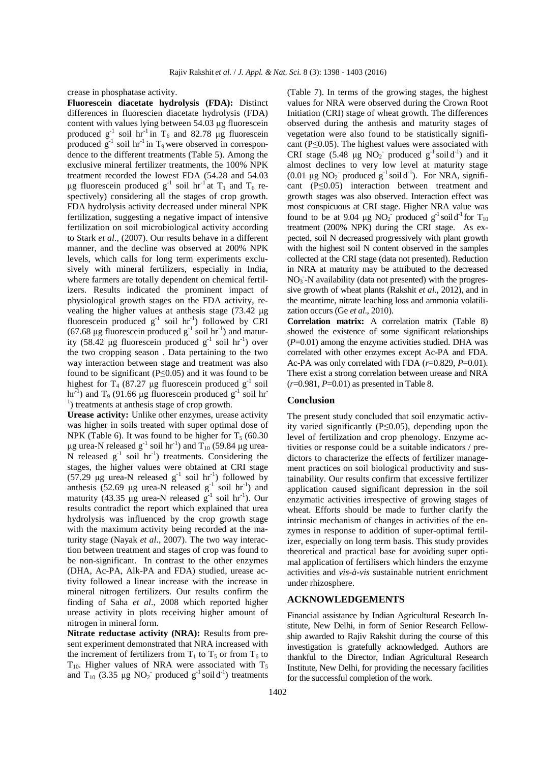crease in phosphatase activity.

**Fluorescein diacetate hydrolysis (FDA):** Distinct differences in fluorescien diacetate hydrolysis (FDA) content with values lying between 54.03 µg fluorescein produced  $g^{-1}$  soil hr<sup>-1</sup> in T<sub>6</sub> and 82.78 µg fluorescein produced  $g^{-1}$  soil hr<sup>-1</sup> in T<sub>9</sub> were observed in correspondence to the different treatments (Table 5). Among the exclusive mineral fertilizer treatments, the 100% NPK treatment recorded the lowest FDA (54.28 and 54.03 µg fluorescein produced  $g^{-1}$  soil hr<sup>-1</sup> at T<sub>1</sub> and T<sub>6</sub> respectively) considering all the stages of crop growth. FDA hydrolysis activity decreased under mineral NPK fertilization, suggesting a negative impact of intensive fertilization on soil microbiological activity according to Stark *et al*., (2007). Our results behave in a different manner, and the decline was observed at 200% NPK levels, which calls for long term experiments exclusively with mineral fertilizers, especially in India, where farmers are totally dependent on chemical fertilizers. Results indicated the prominent impact of physiological growth stages on the FDA activity, revealing the higher values at anthesis stage (73.42 µg fluorescein produced  $g^{-1}$  soil hr<sup>-1</sup>) followed by CRI (67.68 µg fluorescein produced  $g^{-1}$  soil hr<sup>-1</sup>) and maturity (58.42 µg fluorescein produced  $g^{-1}$  soil hr<sup>-1</sup>) over the two cropping season . Data pertaining to the two way interaction between stage and treatment was also found to be significant ( $P \le 0.05$ ) and it was found to be highest for T<sub>4</sub> (87.27 µg fluorescein produced  $g^{-1}$  soil hr<sup>-1</sup>) and T<sub>9</sub> (91.66 µg fluorescein produced  $g^{-1}$  soil hr<sup>-1</sup> <sup>1</sup>) treatments at anthesis stage of crop growth.

**Urease activity:** Unlike other enzymes, urease activity was higher in soils treated with super optimal dose of NPK (Table 6). It was found to be higher for  $T_5$  (60.30) µg urea-N released  $g^{-1}$  soil hr<sup>-1</sup>) and  $T_{10}$  (59.84 µg urea- $N$  released  $g^{-1}$  soil  $hr^{-1}$ ) treatments. Considering the stages, the higher values were obtained at CRI stage (57.29 µg urea-N released  $g^{-1}$  soil hr<sup>-1</sup>) followed by anthesis (52.69 µg urea-N released  $g^{-1}$  soil hr<sup>-1</sup>) and maturity (43.35 µg urea-N released  $g^{-1}$  soil hr<sup>-1</sup>). Our results contradict the report which explained that urea hydrolysis was influenced by the crop growth stage with the maximum activity being recorded at the maturity stage (Nayak *et al*., 2007). The two way interaction between treatment and stages of crop was found to be non-significant. In contrast to the other enzymes (DHA, Ac-PA, Alk-PA and FDA) studied, urease activity followed a linear increase with the increase in mineral nitrogen fertilizers. Our results confirm the finding of Saha *et al*., 2008 which reported higher urease activity in plots receiving higher amount of nitrogen in mineral form.

**Nitrate reductase activity (NRA):** Results from present experiment demonstrated that NRA increased with the increment of fertilizers from  $T_1$  to  $T_5$  or from  $T_6$  to  $T_{10}$ . Higher values of NRA were associated with  $T_5$ and  $T_{10}$  (3.35 µg NO<sub>2</sub> produced  $g^{-1}$  soil d<sup>-1</sup>) treatments (Table 7). In terms of the growing stages, the highest values for NRA were observed during the Crown Root Initiation (CRI) stage of wheat growth. The differences observed during the anthesis and maturity stages of vegetation were also found to be statistically significant ( $P \le 0.05$ ). The highest values were associated with CRI stage (5.48 µg  $NO_2^-$  produced  $g^{-1}$  soil d<sup>-1</sup>) and it almost declines to very low level at maturity stage (0.01  $\mu$ g NO<sub>2</sub> produced g<sup>-1</sup> soil d<sup>-1</sup>). For NRA, significant (P≤0.05) interaction between treatment and growth stages was also observed. Interaction effect was most conspicuous at CRI stage. Higher NRA value was found to be at 9.04 µg  $NO_2^-$  produced  $g^{-1}$  soil d<sup>-1</sup> for  $T_{10}$ treatment (200% NPK) during the CRI stage. As expected, soil N decreased progressively with plant growth with the highest soil N content observed in the samples collected at the CRI stage (data not presented). Reduction in NRA at maturity may be attributed to the decreased  $NO<sub>3</sub>$ -N availability (data not presented) with the progressive growth of wheat plants (Rakshit *et al*., 2012), and in the meantime, nitrate leaching loss and ammonia volatilization occurs (Ge *et al*., 2010).

**Correlation matrix:** A correlation matrix (Table 8) showed the existence of some significant relationships (*P*=0.01) among the enzyme activities studied. DHA was correlated with other enzymes except Ac-PA and FDA. Ac-PA was only correlated with FDA (*r*=0.829, *P*=0.01). There exist a strong correlation between urease and NRA  $(r=0.981, P=0.01)$  as presented in Table 8.

#### **Conclusion**

The present study concluded that soil enzymatic activity varied significantly (P≤0.05), depending upon the level of fertilization and crop phenology. Enzyme activities or response could be a suitable indicators / predictors to characterize the effects of fertilizer management practices on soil biological productivity and sustainability. Our results confirm that excessive fertilizer application caused significant depression in the soil enzymatic activities irrespective of growing stages of wheat. Efforts should be made to further clarify the intrinsic mechanism of changes in activities of the enzymes in response to addition of super-optimal fertilizer, especially on long term basis. This study provides theoretical and practical base for avoiding super optimal application of fertilisers which hinders the enzyme activities and *vis-à-vis* sustainable nutrient enrichment under rhizosphere.

#### **ACKNOWLEDGEMENTS**

Financial assistance by Indian Agricultural Research Institute, New Delhi, in form of Senior Research Fellowship awarded to Rajiv Rakshit during the course of this investigation is gratefully acknowledged. Authors are thankful to the Director, Indian Agricultural Research Institute, New Delhi, for providing the necessary facilities for the successful completion of the work.